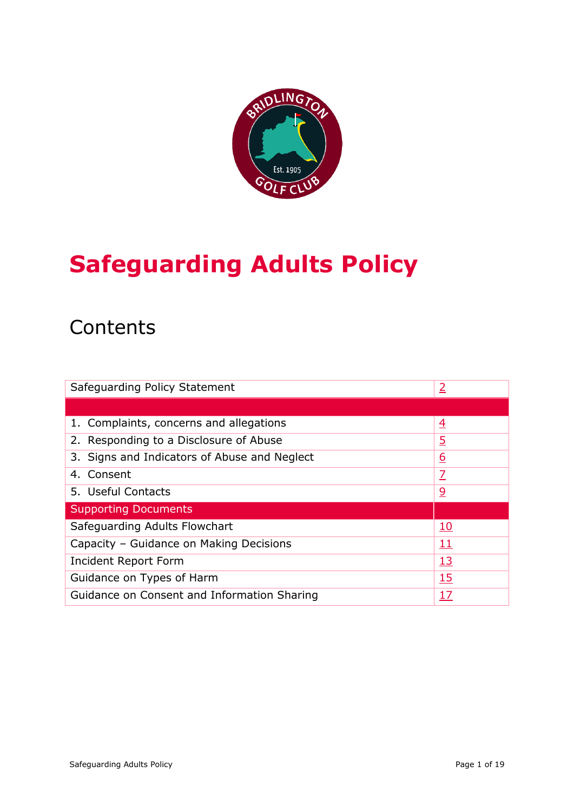

# **Safeguarding Adults Policy**

## **Contents**

| Safeguarding Policy Statement                | $\overline{2}$ |
|----------------------------------------------|----------------|
|                                              |                |
| 1. Complaints, concerns and allegations      | <u>4</u>       |
| 2. Responding to a Disclosure of Abuse       | <u>5</u>       |
| 3. Signs and Indicators of Abuse and Neglect | <u>6</u>       |
| 4. Consent                                   | $\overline{1}$ |
| 5. Useful Contacts                           | <u>୨</u>       |
| <b>Supporting Documents</b>                  |                |
| Safeguarding Adults Flowchart                | <u> 10</u>     |
| Capacity - Guidance on Making Decisions      | <u> 11</u>     |
| Incident Report Form                         | <u>13</u>      |
| 15<br>Guidance on Types of Harm              |                |
| Guidance on Consent and Information Sharing  | <u>17</u>      |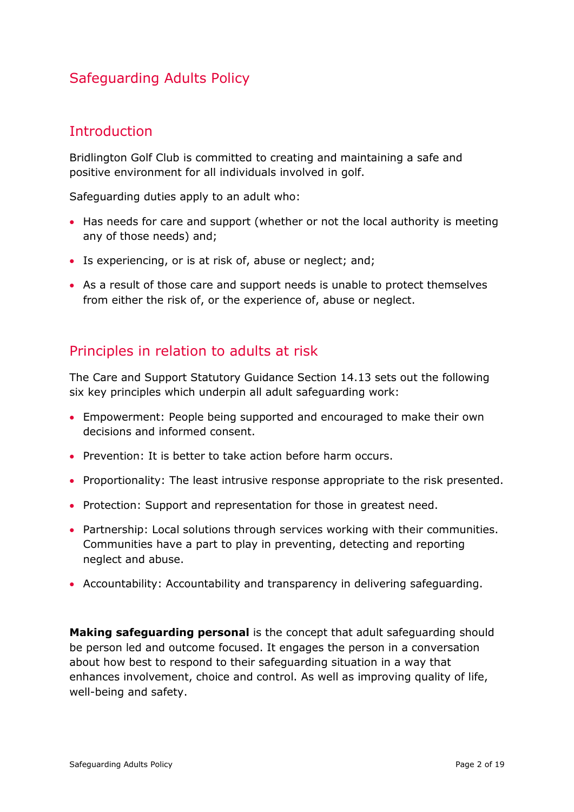### Safeguarding Adults Policy

### <span id="page-1-0"></span>**Introduction**

Bridlington Golf Club is committed to creating and maintaining a safe and positive environment for all individuals involved in golf.

Safeguarding duties apply to an adult who:

- Has needs for care and support (whether or not the local authority is meeting any of those needs) and;
- Is experiencing, or is at risk of, abuse or neglect; and;
- As a result of those care and support needs is unable to protect themselves from either the risk of, or the experience of, abuse or neglect.

### Principles in relation to adults at risk

The Care and Support Statutory Guidance Section 14.13 sets out the following six key principles which underpin all adult safeguarding work:

- Empowerment: People being supported and encouraged to make their own decisions and informed consent.
- Prevention: It is better to take action before harm occurs.
- Proportionality: The least intrusive response appropriate to the risk presented.
- Protection: Support and representation for those in greatest need.
- Partnership: Local solutions through services working with their communities. Communities have a part to play in preventing, detecting and reporting neglect and abuse.
- Accountability: Accountability and transparency in delivering safeguarding.

**Making safeguarding personal** is the concept that adult safeguarding should be person led and outcome focused. It engages the person in a conversation about how best to respond to their safeguarding situation in a way that enhances involvement, choice and control. As well as improving quality of life, well-being and safety.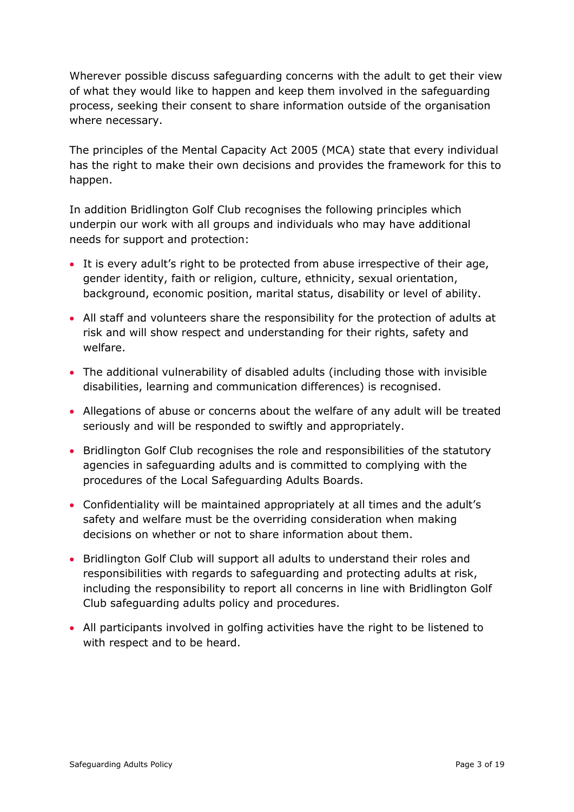Wherever possible discuss safeguarding concerns with the adult to get their view of what they would like to happen and keep them involved in the safeguarding process, seeking their consent to share information outside of the organisation where necessary.

The principles of the Mental Capacity Act 2005 (MCA) state that every individual has the right to make their own decisions and provides the framework for this to happen.

In addition Bridlington Golf Club recognises the following principles which underpin our work with all groups and individuals who may have additional needs for support and protection:

- It is every adult's right to be protected from abuse irrespective of their age, gender identity, faith or religion, culture, ethnicity, sexual orientation, background, economic position, marital status, disability or level of ability.
- All staff and volunteers share the responsibility for the protection of adults at risk and will show respect and understanding for their rights, safety and welfare.
- The additional vulnerability of disabled adults (including those with invisible disabilities, learning and communication differences) is recognised.
- Allegations of abuse or concerns about the welfare of any adult will be treated seriously and will be responded to swiftly and appropriately.
- Bridlington Golf Club recognises the role and responsibilities of the statutory agencies in safeguarding adults and is committed to complying with the procedures of the Local Safeguarding Adults Boards.
- Confidentiality will be maintained appropriately at all times and the adult's safety and welfare must be the overriding consideration when making decisions on whether or not to share information about them.
- Bridlington Golf Club will support all adults to understand their roles and responsibilities with regards to safeguarding and protecting adults at risk, including the responsibility to report all concerns in line with Bridlington Golf Club safeguarding adults policy and procedures.
- All participants involved in golfing activities have the right to be listened to with respect and to be heard.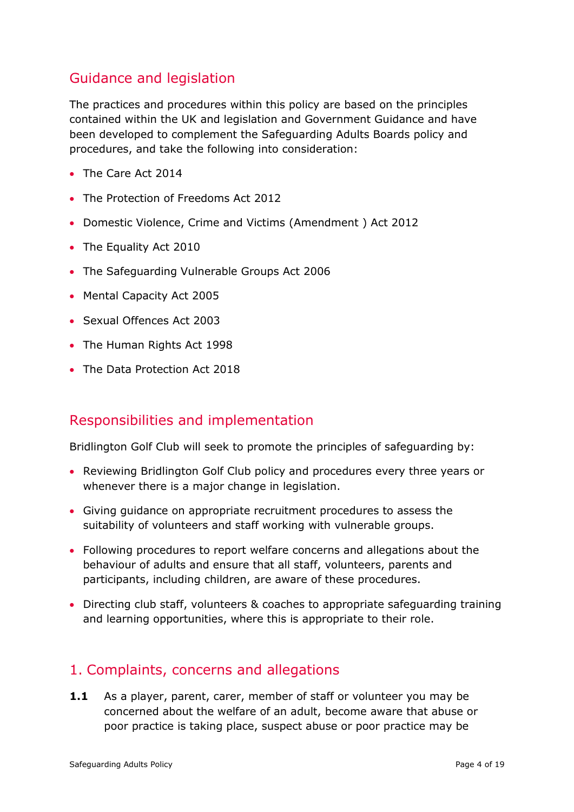### Guidance and legislation

The practices and procedures within this policy are based on the principles contained within the UK and legislation and Government Guidance and have been developed to complement the Safeguarding Adults Boards policy and procedures, and take the following into consideration:

- The Care Act 2014
- The Protection of Freedoms Act 2012
- Domestic Violence, Crime and Victims (Amendment ) Act 2012
- The Equality Act 2010
- The Safeguarding Vulnerable Groups Act 2006
- Mental Capacity Act 2005
- Sexual Offences Act 2003
- The Human Rights Act 1998
- The Data Protection Act 2018

### Responsibilities and implementation

Bridlington Golf Club will seek to promote the principles of safeguarding by:

- Reviewing Bridlington Golf Club policy and procedures every three years or whenever there is a major change in legislation.
- Giving guidance on appropriate recruitment procedures to assess the suitability of volunteers and staff working with vulnerable groups.
- Following procedures to report welfare concerns and allegations about the behaviour of adults and ensure that all staff, volunteers, parents and participants, including children, are aware of these procedures.
- Directing club staff, volunteers & coaches to appropriate safeguarding training and learning opportunities, where this is appropriate to their role.

### <span id="page-3-0"></span>1. Complaints, concerns and allegations

**1.1** As a player, parent, carer, member of staff or volunteer you may be concerned about the welfare of an adult, become aware that abuse or poor practice is taking place, suspect abuse or poor practice may be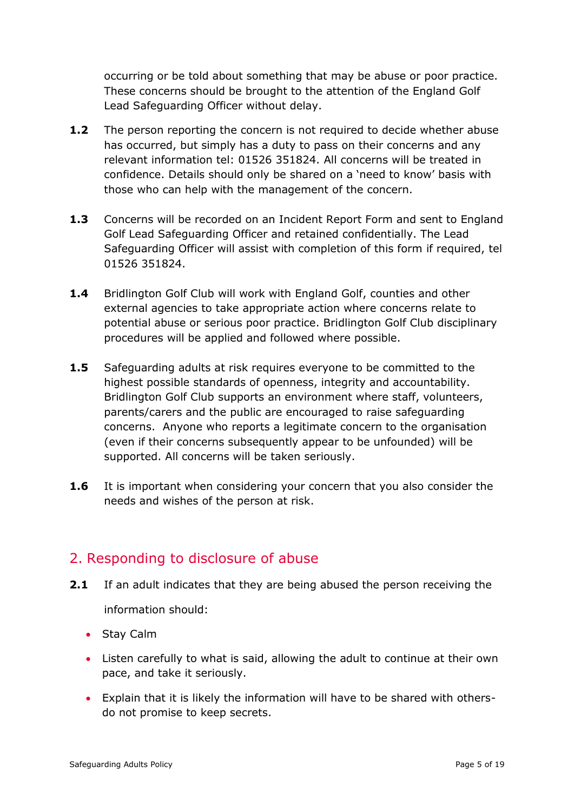occurring or be told about something that may be abuse or poor practice. These concerns should be brought to the attention of the England Golf Lead Safeguarding Officer without delay.

- **1.2** The person reporting the concern is not required to decide whether abuse has occurred, but simply has a duty to pass on their concerns and any relevant information tel: 01526 351824. All concerns will be treated in confidence. Details should only be shared on a 'need to know' basis with those who can help with the management of the concern.
- **1.3** Concerns will be recorded on an Incident Report Form and sent to England Golf Lead Safeguarding Officer and retained confidentially. The Lead Safeguarding Officer will assist with completion of this form if required, tel 01526 351824.
- **1.4** Bridlington Golf Club will work with England Golf, counties and other external agencies to take appropriate action where concerns relate to potential abuse or serious poor practice. Bridlington Golf Club disciplinary procedures will be applied and followed where possible.
- **1.5** Safeguarding adults at risk requires everyone to be committed to the highest possible standards of openness, integrity and accountability. Bridlington Golf Club supports an environment where staff, volunteers, parents/carers and the public are encouraged to raise safeguarding concerns. Anyone who reports a legitimate concern to the organisation (even if their concerns subsequently appear to be unfounded) will be supported. All concerns will be taken seriously.
- **1.6** It is important when considering your concern that you also consider the needs and wishes of the person at risk.

### <span id="page-4-0"></span>2. Responding to disclosure of abuse

- **2.1** If an adult indicates that they are being abused the person receiving the information should:
	- Stay Calm
	- Listen carefully to what is said, allowing the adult to continue at their own pace, and take it seriously.
	- Explain that it is likely the information will have to be shared with othersdo not promise to keep secrets.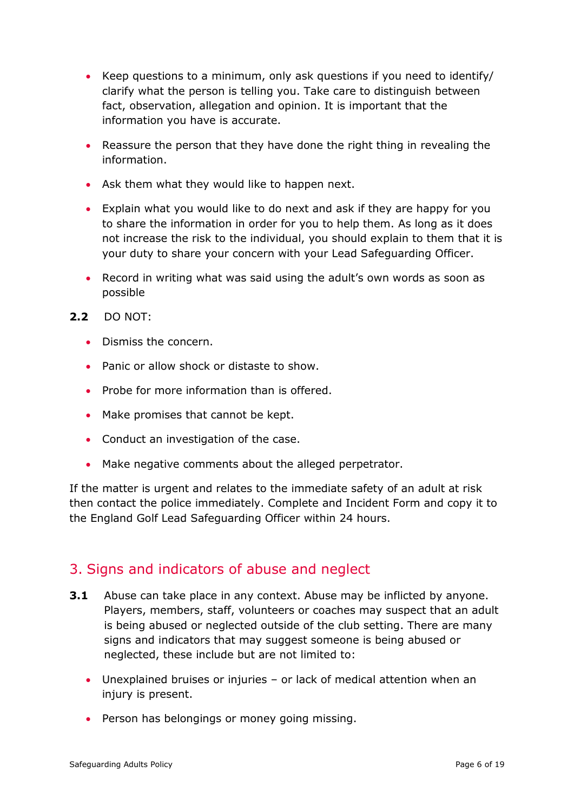- Keep questions to a minimum, only ask questions if you need to identify/ clarify what the person is telling you. Take care to distinguish between fact, observation, allegation and opinion. It is important that the information you have is accurate.
- Reassure the person that they have done the right thing in revealing the information.
- Ask them what they would like to happen next.
- Explain what you would like to do next and ask if they are happy for you to share the information in order for you to help them. As long as it does not increase the risk to the individual, you should explain to them that it is your duty to share your concern with your Lead Safeguarding Officer.
- Record in writing what was said using the adult's own words as soon as possible
- **2.2** DO NOT:
	- Dismiss the concern.
	- Panic or allow shock or distaste to show.
	- Probe for more information than is offered.
	- Make promises that cannot be kept.
	- Conduct an investigation of the case.
	- Make negative comments about the alleged perpetrator.

If the matter is urgent and relates to the immediate safety of an adult at risk then contact the police immediately. Complete and Incident Form and copy it to the England Golf Lead Safeguarding Officer within 24 hours.

### <span id="page-5-0"></span>3. Signs and indicators of abuse and neglect

- **3.1** Abuse can take place in any context. Abuse may be inflicted by anyone. Players, members, staff, volunteers or coaches may suspect that an adult is being abused or neglected outside of the club setting. There are many signs and indicators that may suggest someone is being abused or neglected, these include but are not limited to:
	- Unexplained bruises or injuries or lack of medical attention when an injury is present.
	- Person has belongings or money going missing.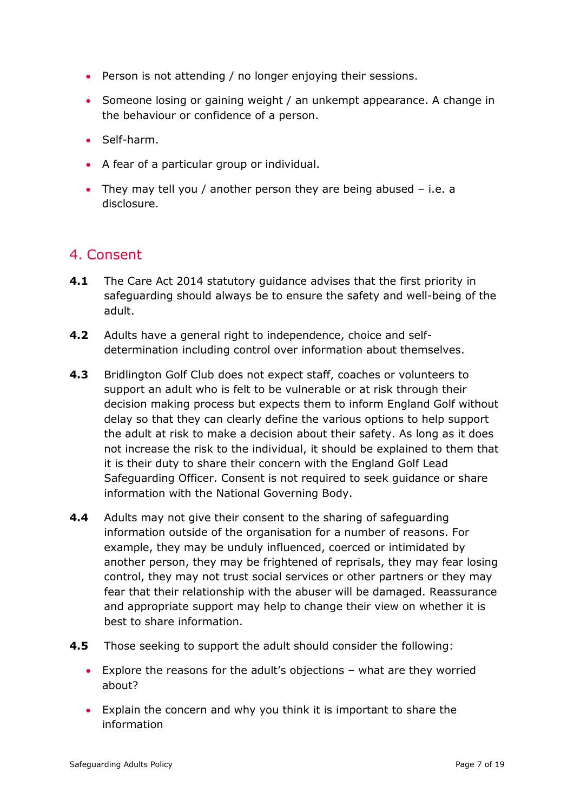- Person is not attending / no longer enjoying their sessions.
- Someone losing or gaining weight / an unkempt appearance. A change in the behaviour or confidence of a person.
- Self-harm.
- A fear of a particular group or individual.
- They may tell you / another person they are being abused i.e. a disclosure.

### <span id="page-6-0"></span>4. Consent

- **4.1** The Care Act 2014 statutory guidance advises that the first priority in safeguarding should always be to ensure the safety and well-being of the adult.
- **4.2** Adults have a general right to independence, choice and selfdetermination including control over information about themselves.
- **4.3** Bridlington Golf Club does not expect staff, coaches or volunteers to support an adult who is felt to be vulnerable or at risk through their decision making process but expects them to inform England Golf without delay so that they can clearly define the various options to help support the adult at risk to make a decision about their safety. As long as it does not increase the risk to the individual, it should be explained to them that it is their duty to share their concern with the England Golf Lead Safeguarding Officer. Consent is not required to seek guidance or share information with the National Governing Body.
- **4.4** Adults may not give their consent to the sharing of safeguarding information outside of the organisation for a number of reasons. For example, they may be unduly influenced, coerced or intimidated by another person, they may be frightened of reprisals, they may fear losing control, they may not trust social services or other partners or they may fear that their relationship with the abuser will be damaged. Reassurance and appropriate support may help to change their view on whether it is best to share information.
- **4.5** Those seeking to support the adult should consider the following:
	- Explore the reasons for the adult's objections what are they worried about?
	- Explain the concern and why you think it is important to share the information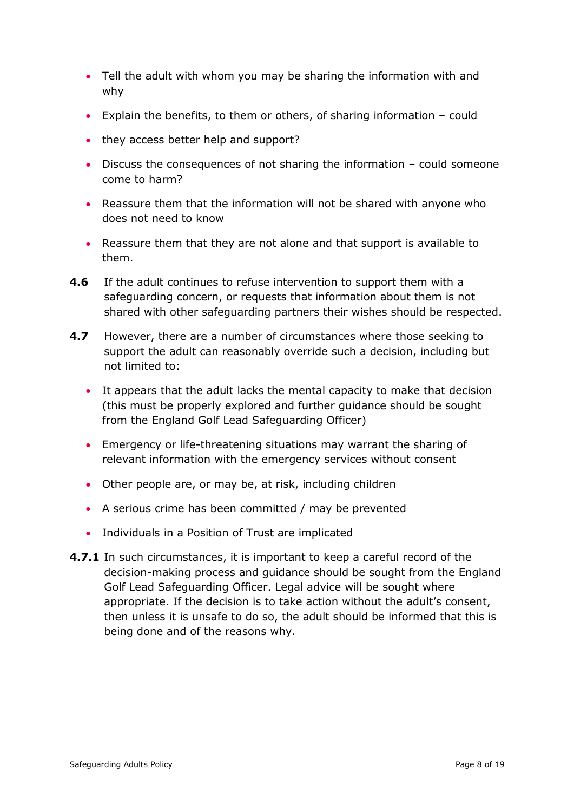- Tell the adult with whom you may be sharing the information with and why
- Explain the benefits, to them or others, of sharing information could
- they access better help and support?
- Discuss the consequences of not sharing the information could someone come to harm?
- Reassure them that the information will not be shared with anyone who does not need to know
- Reassure them that they are not alone and that support is available to them.
- **4.6** If the adult continues to refuse intervention to support them with a safeguarding concern, or requests that information about them is not shared with other safeguarding partners their wishes should be respected.
- **4.7** However, there are a number of circumstances where those seeking to support the adult can reasonably override such a decision, including but not limited to:
	- It appears that the adult lacks the mental capacity to make that decision (this must be properly explored and further guidance should be sought from the England Golf Lead Safeguarding Officer)
	- Emergency or life-threatening situations may warrant the sharing of relevant information with the emergency services without consent
	- Other people are, or may be, at risk, including children
	- A serious crime has been committed / may be prevented
	- Individuals in a Position of Trust are implicated
- **4.7.1** In such circumstances, it is important to keep a careful record of the decision-making process and guidance should be sought from the England Golf Lead Safeguarding Officer. Legal advice will be sought where appropriate. If the decision is to take action without the adult's consent, then unless it is unsafe to do so, the adult should be informed that this is being done and of the reasons why.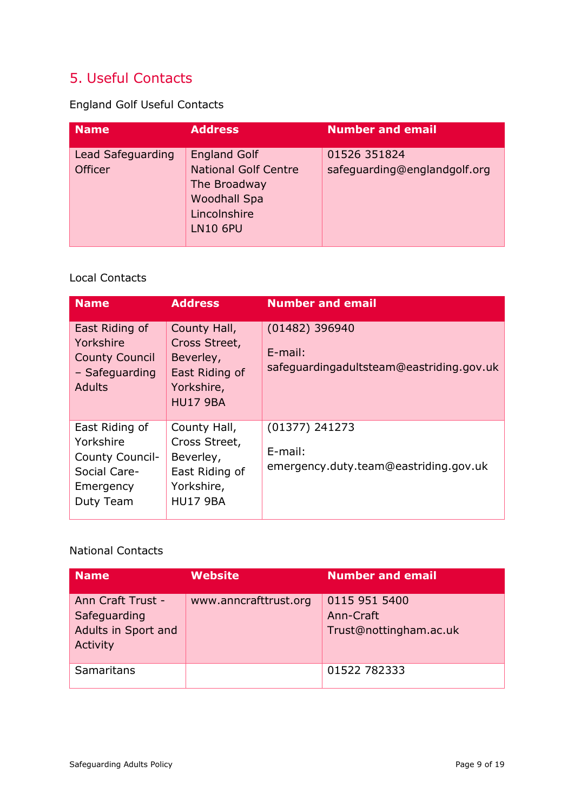### <span id="page-8-0"></span>5. Useful Contacts

England Golf Useful Contacts

| <b>Name</b>                         | <b>Address</b>                                                                                                               | <b>Number and email</b>                      |
|-------------------------------------|------------------------------------------------------------------------------------------------------------------------------|----------------------------------------------|
| Lead Safeguarding<br><b>Officer</b> | <b>England Golf</b><br><b>National Golf Centre</b><br>The Broadway<br><b>Woodhall Spa</b><br>Lincolnshire<br><b>LN10 6PU</b> | 01526 351824<br>safeguarding@englandgolf.org |

#### Local Contacts

| <b>Name</b>                                                                              | <b>Address</b>                                                                                | <b>Number and email</b>                                                    |
|------------------------------------------------------------------------------------------|-----------------------------------------------------------------------------------------------|----------------------------------------------------------------------------|
| East Riding of<br>Yorkshire<br><b>County Council</b><br>- Safeguarding<br><b>Adults</b>  | County Hall,<br>Cross Street,<br>Beverley,<br>East Riding of<br>Yorkshire,<br><b>HU17 9BA</b> | $(01482)$ 396940<br>$E$ -mail:<br>safeguardingadultsteam@eastriding.gov.uk |
| East Riding of<br>Yorkshire<br>County Council-<br>Social Care-<br>Emergency<br>Duty Team | County Hall,<br>Cross Street,<br>Beverley,<br>East Riding of<br>Yorkshire,<br><b>HU17 9BA</b> | $(01377)$ 241273<br>E-mail:<br>emergency.duty.team@eastriding.gov.uk       |

#### National Contacts

| Name                                                                 | <b>Website</b>        | <b>Number and email</b>                              |
|----------------------------------------------------------------------|-----------------------|------------------------------------------------------|
| Ann Craft Trust -<br>Safeguarding<br>Adults in Sport and<br>Activity | www.anncrafttrust.org | 0115 951 5400<br>Ann-Craft<br>Trust@nottingham.ac.uk |
| Samaritans                                                           |                       | 01522 782333                                         |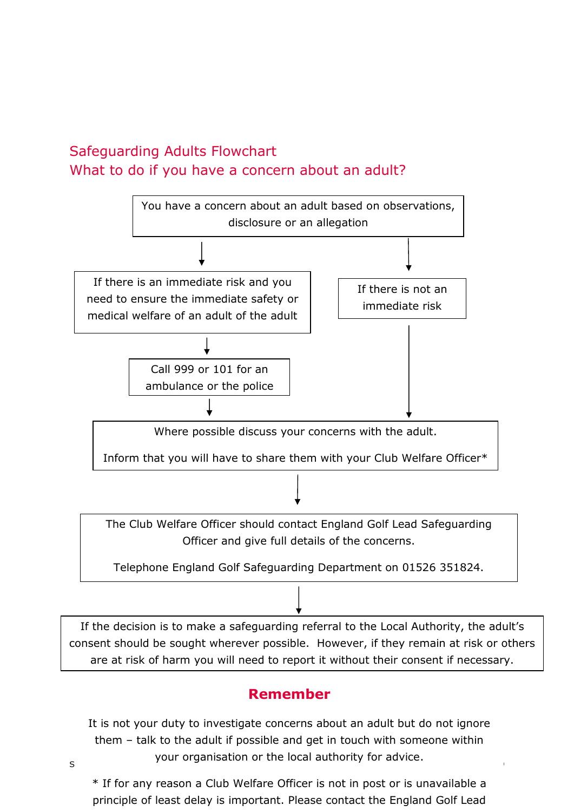### <span id="page-9-0"></span>Safeguarding Adults Flowchart What to do if you have a concern about an adult?



If the decision is to make a safeguarding referral to the Local Authority, the adult's consent should be sought wherever possible. However, if they remain at risk or others are at risk of harm you will need to report it without their consent if necessary.

### **Remember**

s settled by a sequence of the local authority for advice. It is not your duty to investigate concerns about an adult but do not ignore them – talk to the adult if possible and get in touch with someone within

\* If for any reason a Club Welfare Officer is not in post or is unavailable a principle of least delay is important. Please contact the England Golf Lead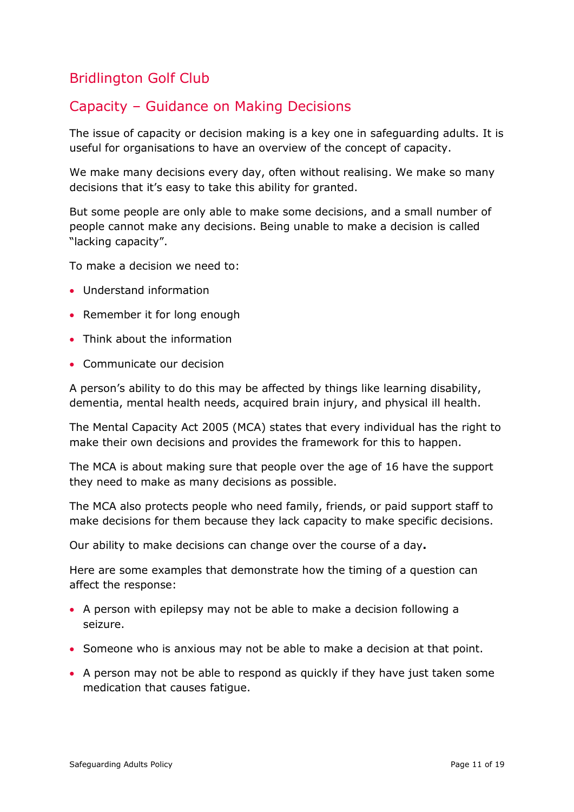### <span id="page-10-0"></span>Bridlington Golf Club

### Capacity – Guidance on Making Decisions

The issue of capacity or decision making is a key one in safeguarding adults. It is useful for organisations to have an overview of the concept of capacity.

We make many decisions every day, often without realising. We make so many decisions that it's easy to take this ability for granted.

But some people are only able to make some decisions, and a small number of people cannot make any decisions. Being unable to make a decision is called "lacking capacity".

To make a decision we need to:

- Understand information
- Remember it for long enough
- Think about the information
- Communicate our decision

A person's ability to do this may be affected by things like learning disability, dementia, mental health needs, acquired brain injury, and physical ill health.

The Mental Capacity Act 2005 (MCA) states that every individual has the right to make their own decisions and provides the framework for this to happen.

The MCA is about making sure that people over the age of 16 have the support they need to make as many decisions as possible.

The MCA also protects people who need family, friends, or paid support staff to make decisions for them because they lack capacity to make specific decisions.

Our ability to make decisions can change over the course of a day**.**

Here are some examples that demonstrate how the timing of a question can affect the response:

- A person with epilepsy may not be able to make a decision following a seizure.
- Someone who is anxious may not be able to make a decision at that point.
- A person may not be able to respond as quickly if they have just taken some medication that causes fatigue.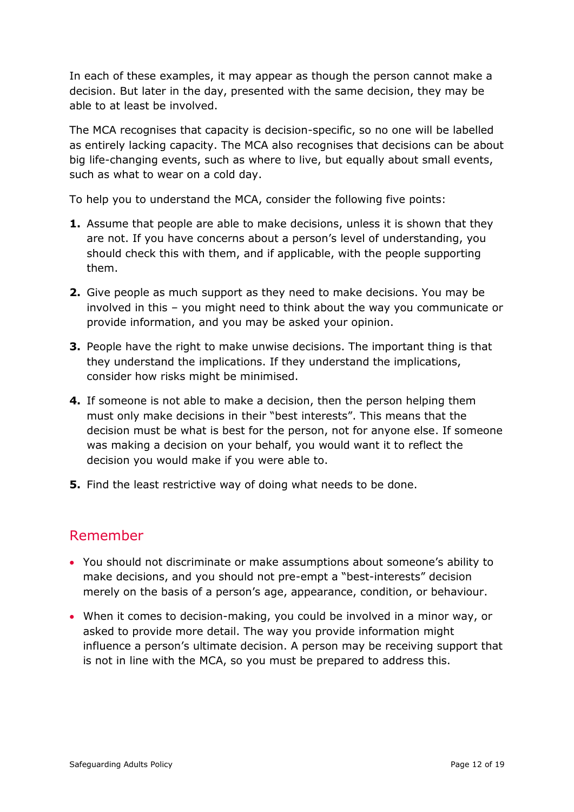In each of these examples, it may appear as though the person cannot make a decision. But later in the day, presented with the same decision, they may be able to at least be involved.

The MCA recognises that capacity is decision-specific, so no one will be labelled as entirely lacking capacity. The MCA also recognises that decisions can be about big life-changing events, such as where to live, but equally about small events, such as what to wear on a cold day.

To help you to understand the MCA, consider the following five points:

- **1.** Assume that people are able to make decisions, unless it is shown that they are not. If you have concerns about a person's level of understanding, you should check this with them, and if applicable, with the people supporting them.
- **2.** Give people as much support as they need to make decisions. You may be involved in this – you might need to think about the way you communicate or provide information, and you may be asked your opinion.
- **3.** People have the right to make unwise decisions. The important thing is that they understand the implications. If they understand the implications, consider how risks might be minimised.
- **4.** If someone is not able to make a decision, then the person helping them must only make decisions in their "best interests". This means that the decision must be what is best for the person, not for anyone else. If someone was making a decision on your behalf, you would want it to reflect the decision you would make if you were able to.
- **5.** Find the least restrictive way of doing what needs to be done.

### Remember

- You should not discriminate or make assumptions about someone's ability to make decisions, and you should not pre-empt a "best-interests" decision merely on the basis of a person's age, appearance, condition, or behaviour.
- When it comes to decision-making, you could be involved in a minor way, or asked to provide more detail. The way you provide information might influence a person's ultimate decision. A person may be receiving support that is not in line with the MCA, so you must be prepared to address this.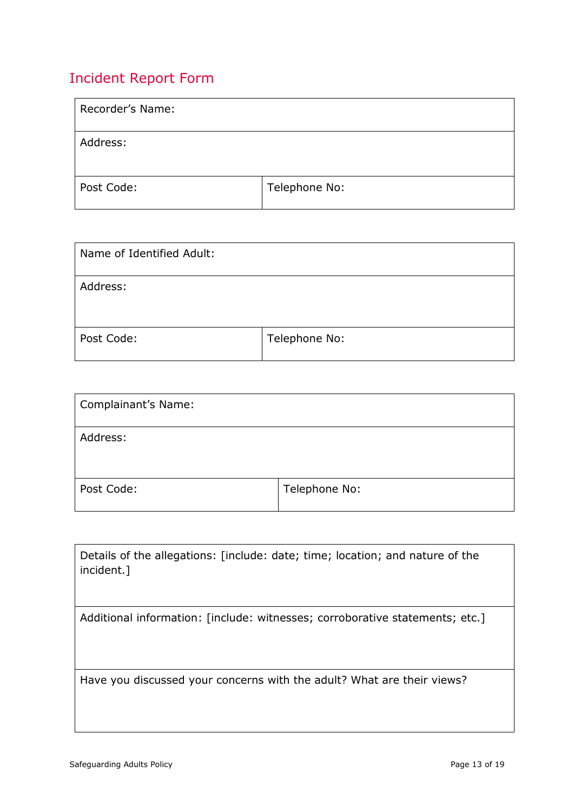### <span id="page-12-0"></span>Incident Report Form

| Recorder's Name: |               |
|------------------|---------------|
| Address:         |               |
| Post Code:       | Telephone No: |

| Name of Identified Adult: |               |
|---------------------------|---------------|
| Address:                  |               |
| Post Code:                | Telephone No: |

| Complainant's Name: |               |
|---------------------|---------------|
| Address:            |               |
| Post Code:          | Telephone No: |

| Details of the allegations: [include: date; time; location; and nature of the<br>incident.] |
|---------------------------------------------------------------------------------------------|
| Additional information: [include: witnesses; corroborative statements; etc.]                |
|                                                                                             |
|                                                                                             |
|                                                                                             |
| Have you discussed your concerns with the adult? What are their views?                      |
|                                                                                             |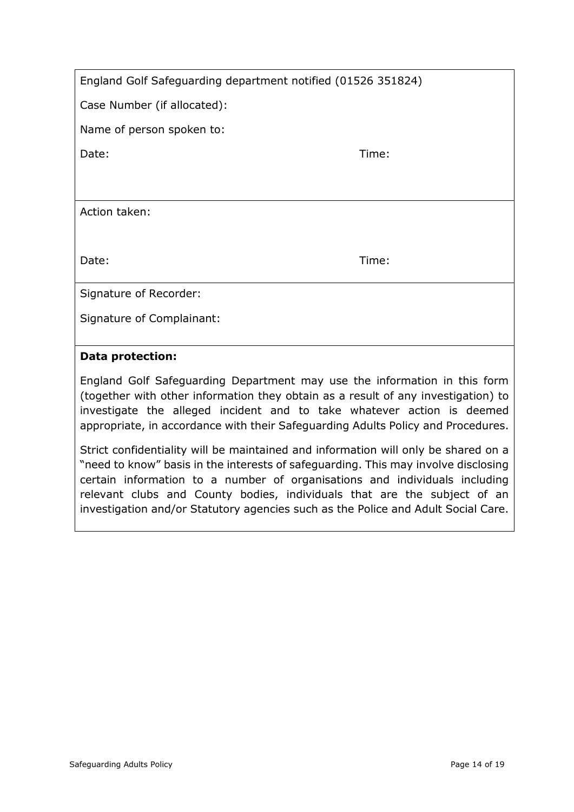| England Golf Safeguarding department notified (01526 351824) |  |  |
|--------------------------------------------------------------|--|--|
|--------------------------------------------------------------|--|--|

Case Number (if allocated):

Name of person spoken to:

Date: Time: Time: Time: Time: Time: Time: Time: Time: Time: Time: Time: Time: Time: Time: Time: Time: Time: Time: Time: Time: Time: Time: Time: Time: Time: Time: Time: Time: Time: Time: Time: Time: Time: Time: Time: Time:

Action taken:

Date: Time: Time: Time: Time: Time: Time: Time: Time: Time: Time: Time: Time: Time: Time: Time: Time: Time: Time: Time: Time: Time: Time: Time: Time: Time: Time: Time: Time: Time: Time: Time: Time: Time: Time: Time: Time:

Signature of Recorder:

Signature of Complainant:

#### **Data protection:**

England Golf Safeguarding Department may use the information in this form (together with other information they obtain as a result of any investigation) to investigate the alleged incident and to take whatever action is deemed appropriate, in accordance with their Safeguarding Adults Policy and Procedures.

Strict confidentiality will be maintained and information will only be shared on a "need to know" basis in the interests of safeguarding. This may involve disclosing certain information to a number of organisations and individuals including relevant clubs and County bodies, individuals that are the subject of an investigation and/or Statutory agencies such as the Police and Adult Social Care.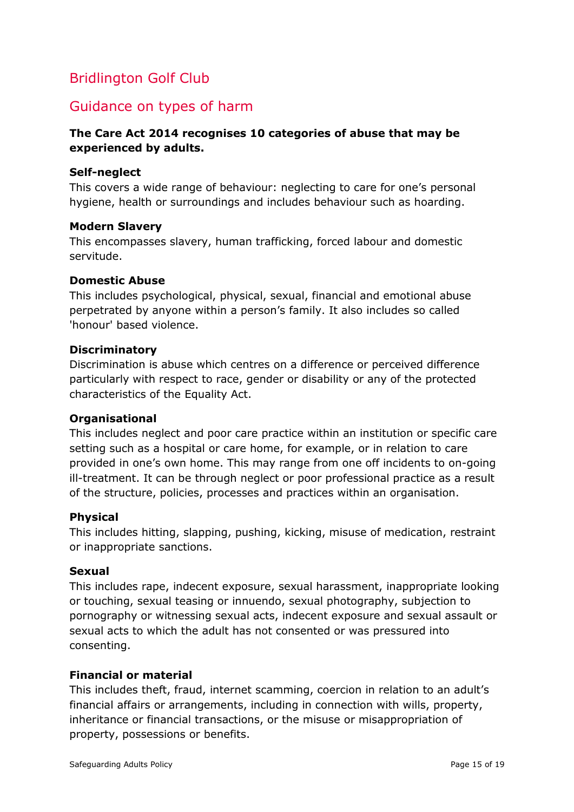### <span id="page-14-0"></span>Bridlington Golf Club

### Guidance on types of harm

#### **The Care Act 2014 recognises 10 categories of abuse that may be experienced by adults.**

#### **Self-neglect**

This covers a wide range of behaviour: neglecting to care for one's personal hygiene, health or surroundings and includes behaviour such as hoarding.

#### **Modern Slavery**

This encompasses slavery, human trafficking, forced labour and domestic servitude.

#### **Domestic Abuse**

This includes psychological, physical, sexual, financial and emotional abuse perpetrated by anyone within a person's family. It also includes so called 'honour' based violence.

#### **Discriminatory**

Discrimination is abuse which centres on a difference or perceived difference particularly with respect to race, gender or disability or any of the protected characteristics of the Equality Act.

#### **Organisational**

This includes neglect and poor care practice within an institution or specific care setting such as a hospital or care home, for example, or in relation to care provided in one's own home. This may range from one off incidents to on-going ill-treatment. It can be through neglect or poor professional practice as a result of the structure, policies, processes and practices within an organisation.

#### **Physical**

This includes hitting, slapping, pushing, kicking, misuse of medication, restraint or inappropriate sanctions.

#### **Sexual**

This includes rape, indecent exposure, sexual harassment, inappropriate looking or touching, sexual teasing or innuendo, sexual photography, subjection to pornography or witnessing sexual acts, indecent exposure and sexual assault or sexual acts to which the adult has not consented or was pressured into consenting.

#### **Financial or material**

This includes theft, fraud, internet scamming, coercion in relation to an adult's financial affairs or arrangements, including in connection with wills, property, inheritance or financial transactions, or the misuse or misappropriation of property, possessions or benefits.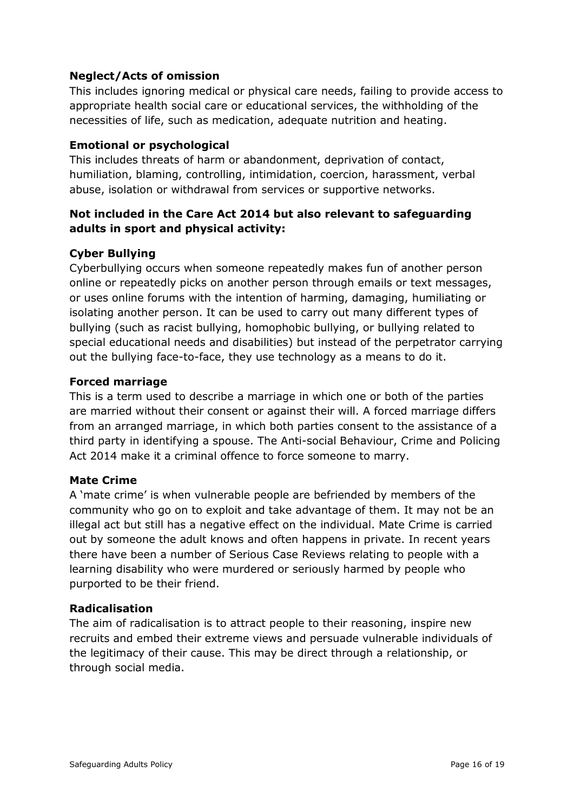#### **Neglect/Acts of omission**

This includes ignoring medical or physical care needs, failing to provide access to appropriate health social care or educational services, the withholding of the necessities of life, such as medication, adequate nutrition and heating.

#### **Emotional or psychological**

This includes threats of harm or abandonment, deprivation of contact, humiliation, blaming, controlling, intimidation, coercion, harassment, verbal abuse, isolation or withdrawal from services or supportive networks.

#### **Not included in the Care Act 2014 but also relevant to safeguarding adults in sport and physical activity:**

#### **Cyber Bullying**

Cyberbullying occurs when someone repeatedly makes fun of another person online or repeatedly picks on another person through emails or text messages, or uses online forums with the intention of harming, damaging, humiliating or isolating another person. It can be used to carry out many different types of bullying (such as racist bullying, homophobic bullying, or bullying related to special educational needs and disabilities) but instead of the perpetrator carrying out the bullying face-to-face, they use technology as a means to do it.

#### **Forced marriage**

This is a term used to describe a marriage in which one or both of the parties are married without their consent or against their will. A forced marriage differs from an arranged marriage, in which both parties consent to the assistance of a third party in identifying a spouse. The Anti-social Behaviour, Crime and Policing Act 2014 make it a criminal offence to force someone to marry.

#### **Mate Crime**

A 'mate crime' is when vulnerable people are befriended by members of the community who go on to exploit and take advantage of them. It may not be an illegal act but still has a negative effect on the individual. Mate Crime is carried out by someone the adult knows and often happens in private. In recent years there have been a number of Serious Case Reviews relating to people with a learning disability who were murdered or seriously harmed by people who purported to be their friend.

#### **Radicalisation**

The aim of radicalisation is to attract people to their reasoning, inspire new recruits and embed their extreme views and persuade vulnerable individuals of the legitimacy of their cause. This may be direct through a relationship, or through social media.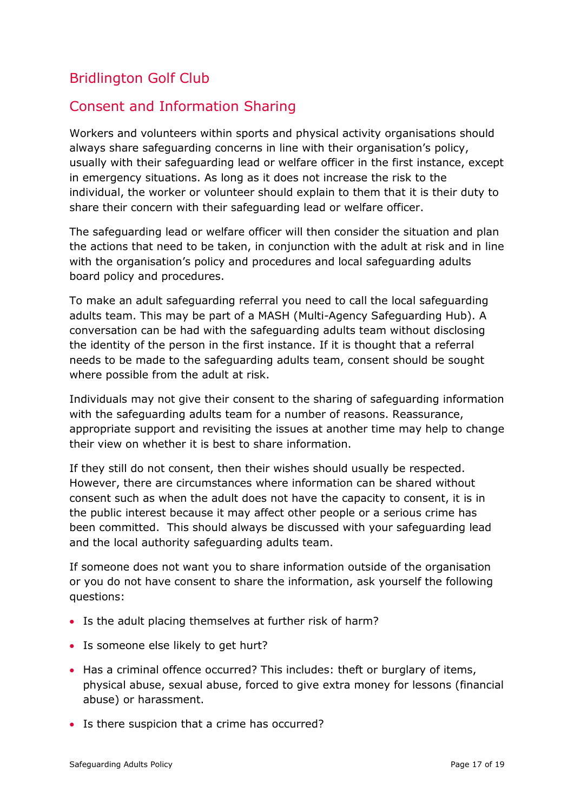### <span id="page-16-0"></span>Bridlington Golf Club

### Consent and Information Sharing

Workers and volunteers within sports and physical activity organisations should always share safeguarding concerns in line with their organisation's policy, usually with their safeguarding lead or welfare officer in the first instance, except in emergency situations. As long as it does not increase the risk to the individual, the worker or volunteer should explain to them that it is their duty to share their concern with their safeguarding lead or welfare officer.

The safeguarding lead or welfare officer will then consider the situation and plan the actions that need to be taken, in conjunction with the adult at risk and in line with the organisation's policy and procedures and local safeguarding adults board policy and procedures.

To make an adult safeguarding referral you need to call the local safeguarding adults team. This may be part of a MASH (Multi*-*Agency Safeguarding Hub). A conversation can be had with the safeguarding adults team without disclosing the identity of the person in the first instance. If it is thought that a referral needs to be made to the safeguarding adults team, consent should be sought where possible from the adult at risk.

Individuals may not give their consent to the sharing of safeguarding information with the safeguarding adults team for a number of reasons. Reassurance, appropriate support and revisiting the issues at another time may help to change their view on whether it is best to share information.

If they still do not consent, then their wishes should usually be respected. However, there are circumstances where information can be shared without consent such as when the adult does not have the capacity to consent, it is in the public interest because it may affect other people or a serious crime has been committed. This should always be discussed with your safeguarding lead and the local authority safeguarding adults team.

If someone does not want you to share information outside of the organisation or you do not have consent to share the information, ask yourself the following questions:

- Is the adult placing themselves at further risk of harm?
- Is someone else likely to get hurt?
- Has a criminal offence occurred? This includes: theft or burglary of items, physical abuse, sexual abuse, forced to give extra money for lessons (financial abuse) or harassment.
- Is there suspicion that a crime has occurred?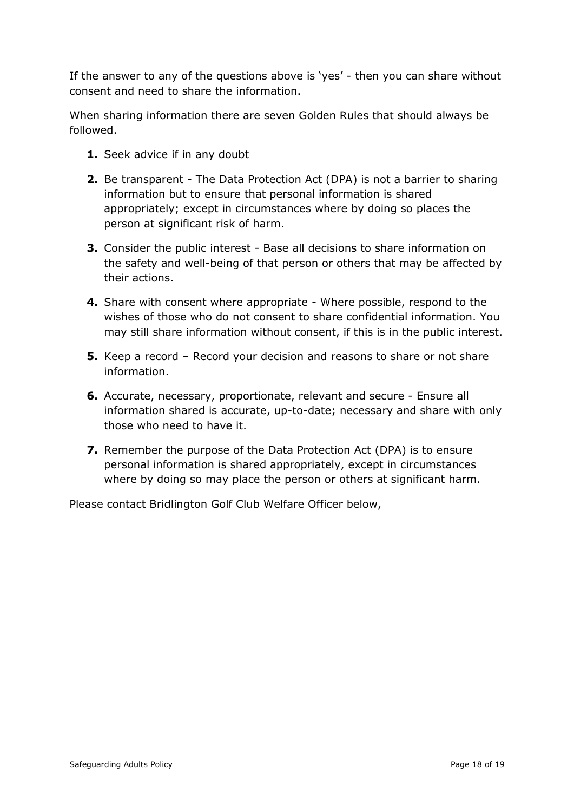If the answer to any of the questions above is 'yes' - then you can share without consent and need to share the information.

When sharing information there are seven Golden Rules that should always be followed.

- **1.** Seek advice if in any doubt
- **2.** Be transparent The Data Protection Act (DPA) is not a barrier to sharing information but to ensure that personal information is shared appropriately; except in circumstances where by doing so places the person at significant risk of harm.
- **3.** Consider the public interest Base all decisions to share information on the safety and well-being of that person or others that may be affected by their actions.
- **4.** Share with consent where appropriate Where possible, respond to the wishes of those who do not consent to share confidential information. You may still share information without consent, if this is in the public interest.
- **5.** Keep a record Record your decision and reasons to share or not share information.
- **6.** Accurate, necessary, proportionate, relevant and secure Ensure all information shared is accurate, up-to-date; necessary and share with only those who need to have it.
- **7.** Remember the purpose of the Data Protection Act (DPA) is to ensure personal information is shared appropriately, except in circumstances where by doing so may place the person or others at significant harm.

Please contact Bridlington Golf Club Welfare Officer below,